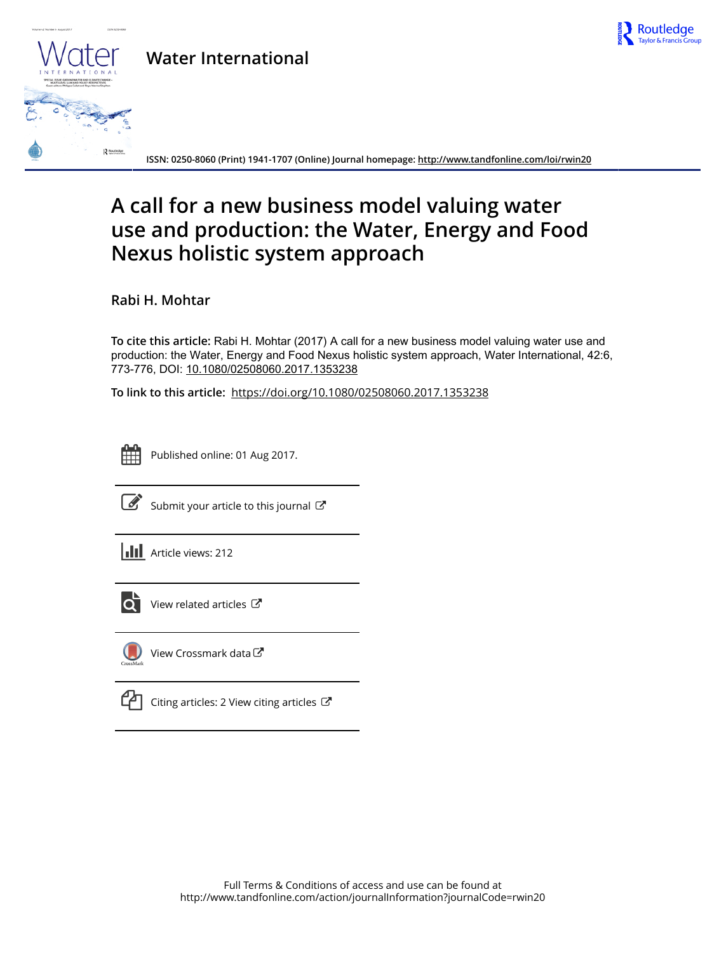

## **Water International**



**ISSN: 0250-8060 (Print) 1941-1707 (Online) Journal homepage:<http://www.tandfonline.com/loi/rwin20>**

# **A call for a new business model valuing water use and production: the Water, Energy and Food Nexus holistic system approach**

**Rabi H. Mohtar**

**To cite this article:** Rabi H. Mohtar (2017) A call for a new business model valuing water use and production: the Water, Energy and Food Nexus holistic system approach, Water International, 42:6, 773-776, DOI: [10.1080/02508060.2017.1353238](http://www.tandfonline.com/action/showCitFormats?doi=10.1080/02508060.2017.1353238)

**To link to this article:** <https://doi.org/10.1080/02508060.2017.1353238>



Published online: 01 Aug 2017.



 $\overline{\mathscr{L}}$  [Submit your article to this journal](http://www.tandfonline.com/action/authorSubmission?journalCode=rwin20&show=instructions)  $\mathbb{Z}$ 





 $\overline{Q}$  [View related articles](http://www.tandfonline.com/doi/mlt/10.1080/02508060.2017.1353238)  $\overline{C}$ 



[View Crossmark data](http://crossmark.crossref.org/dialog/?doi=10.1080/02508060.2017.1353238&domain=pdf&date_stamp=2017-08-01)<sup>C</sup>

 $\Box$  [Citing articles: 2 View citing articles](http://www.tandfonline.com/doi/citedby/10.1080/02508060.2017.1353238#tabModule)  $\Box$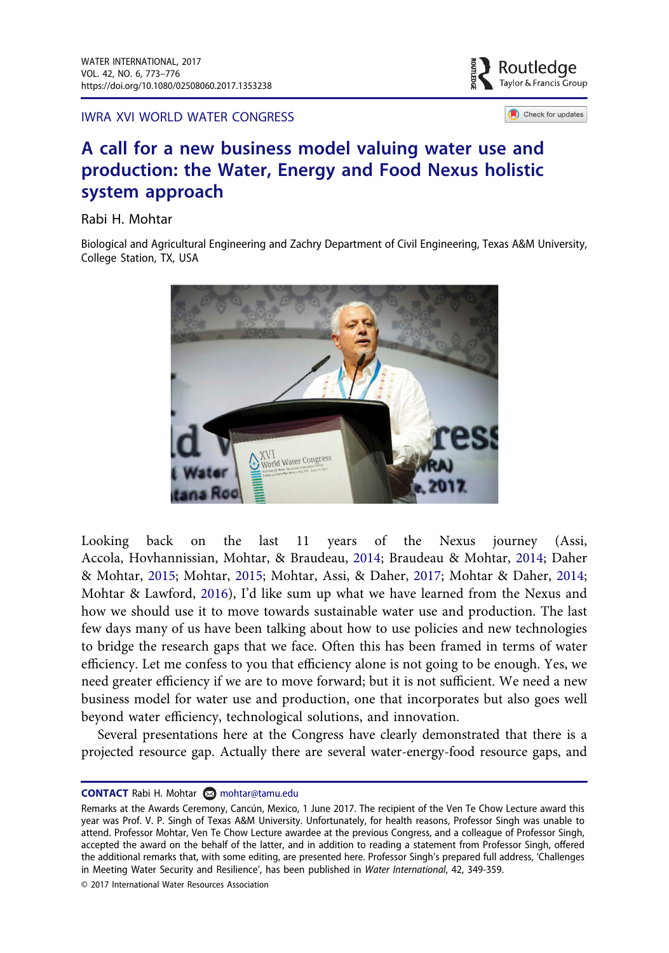IWRA XVI WORLD WATER CONGRESS



Check for updates

### A call for a new business model valuing water use and production: the Water, Energy and Food Nexus holistic system approach

Rabi H. Mohtar

Biological and Agricultural Engineering and Zachry Department of Civil Engineering, Texas A&M University, College Station, TX, USA



<span id="page-1-2"></span><span id="page-1-1"></span><span id="page-1-0"></span>Looking back on the last 11 years of the Nexus journey (Assi, Accola, Hovhannissian, Mohtar, & Braudeau, [2014;](#page-4-0) Braudeau & Mohtar, [2014;](#page-4-1) Daher & Mohtar, [2015](#page-4-2); Mohtar, [2015;](#page-4-3) Mohtar, Assi, & Daher, [2017](#page-4-4); Mohtar & Daher, [2014;](#page-4-5) Mohtar & Lawford, [2016](#page-4-6)), I'd like sum up what we have learned from the Nexus and how we should use it to move towards sustainable water use and production. The last few days many of us have been talking about how to use policies and new technologies to bridge the research gaps that we face. Often this has been framed in terms of water efficiency. Let me confess to you that efficiency alone is not going to be enough. Yes, we need greater efficiency if we are to move forward; but it is not sufficient. We need a new business model for water use and production, one that incorporates but also goes well beyond water efficiency, technological solutions, and innovation.

Several presentations here at the Congress have clearly demonstrated that there is a projected resource gap. Actually there are several water-energy-food resource gaps, and

© 2017 International Water Resources Association

CONTACT Rabi H. Mohtar M mohtar@tamu.edu

Remarks at the Awards Ceremony, Cancún, Mexico, 1 June 2017. The recipient of the Ven Te Chow Lecture award this year was Prof. V. P. Singh of Texas A&M University. Unfortunately, for health reasons, Professor Singh was unable to attend. Professor Mohtar, Ven Te Chow Lecture awardee at the previous Congress, and a colleague of Professor Singh, accepted the award on the behalf of the latter, and in addition to reading a statement from Professor Singh, offered the additional remarks that, with some editing, are presented here. Professor Singh's prepared full address, 'Challenges in Meeting Water Security and Resilience', has been published in Water International, 42, 349-359.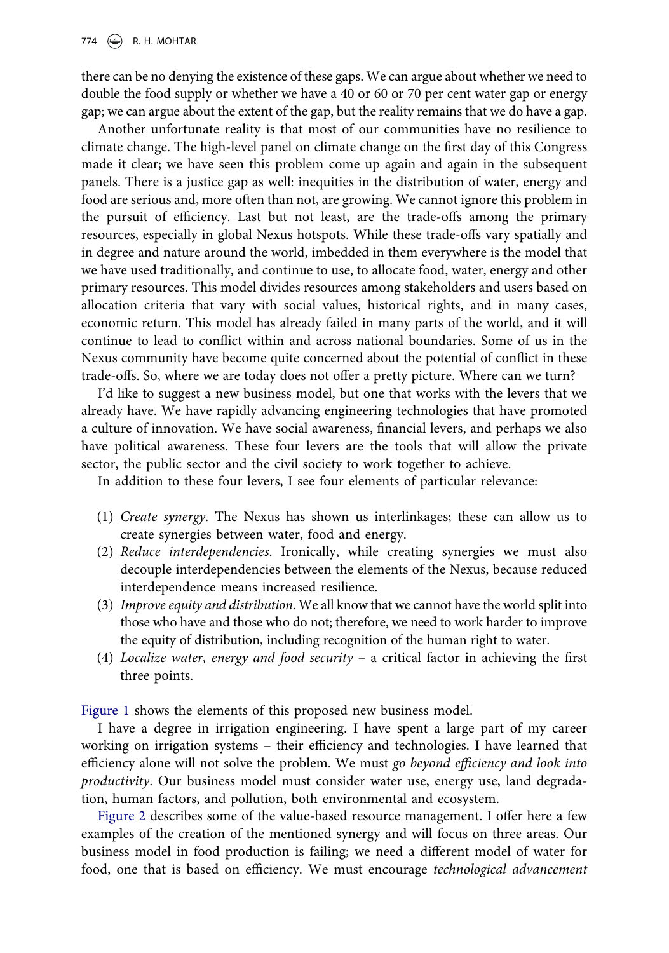there can be no denying the existence of these gaps. We can argue about whether we need to double the food supply or whether we have a 40 or 60 or 70 per cent water gap or energy gap; we can argue about the extent of the gap, but the reality remains that we do have a gap.

Another unfortunate reality is that most of our communities have no resilience to climate change. The high-level panel on climate change on the first day of this Congress made it clear; we have seen this problem come up again and again in the subsequent panels. There is a justice gap as well: inequities in the distribution of water, energy and food are serious and, more often than not, are growing. We cannot ignore this problem in the pursuit of efficiency. Last but not least, are the trade-offs among the primary resources, especially in global Nexus hotspots. While these trade-offs vary spatially and in degree and nature around the world, imbedded in them everywhere is the model that we have used traditionally, and continue to use, to allocate food, water, energy and other primary resources. This model divides resources among stakeholders and users based on allocation criteria that vary with social values, historical rights, and in many cases, economic return. This model has already failed in many parts of the world, and it will continue to lead to conflict within and across national boundaries. Some of us in the Nexus community have become quite concerned about the potential of conflict in these trade-offs. So, where we are today does not offer a pretty picture. Where can we turn?

I'd like to suggest a new business model, but one that works with the levers that we already have. We have rapidly advancing engineering technologies that have promoted a culture of innovation. We have social awareness, financial levers, and perhaps we also have political awareness. These four levers are the tools that will allow the private sector, the public sector and the civil society to work together to achieve.

In addition to these four levers, I see four elements of particular relevance:

- (1) Create synergy. The Nexus has shown us interlinkages; these can allow us to create synergies between water, food and energy.
- (2) Reduce interdependencies. Ironically, while creating synergies we must also decouple interdependencies between the elements of the Nexus, because reduced interdependence means increased resilience.
- (3) Improve equity and distribution. We all know that we cannot have the world split into those who have and those who do not; therefore, we need to work harder to improve the equity of distribution, including recognition of the human right to water.
- (4) Localize water, energy and food security a critical factor in achieving the first three points.

Fi[gure 1](#page-3-0) shows the elements of this proposed new business model.

I have a degree in irrigation engineering. I have spent a large part of my career working on irrigation systems – their efficiency and technologies. I have learned that efficiency alone will not solve the problem. We must go beyond efficiency and look into productivity. Our business model must consider water use, energy use, land degradation, human factors, and pollution, both environmental and ecosystem.

[Figure 2](#page-3-1) describes some of the value-based resource management. I offer here a few examples of the creation of the mentioned synergy and will focus on three areas. Our business model in food production is failing; we need a different model of water for food, one that is based on efficiency. We must encourage technological advancement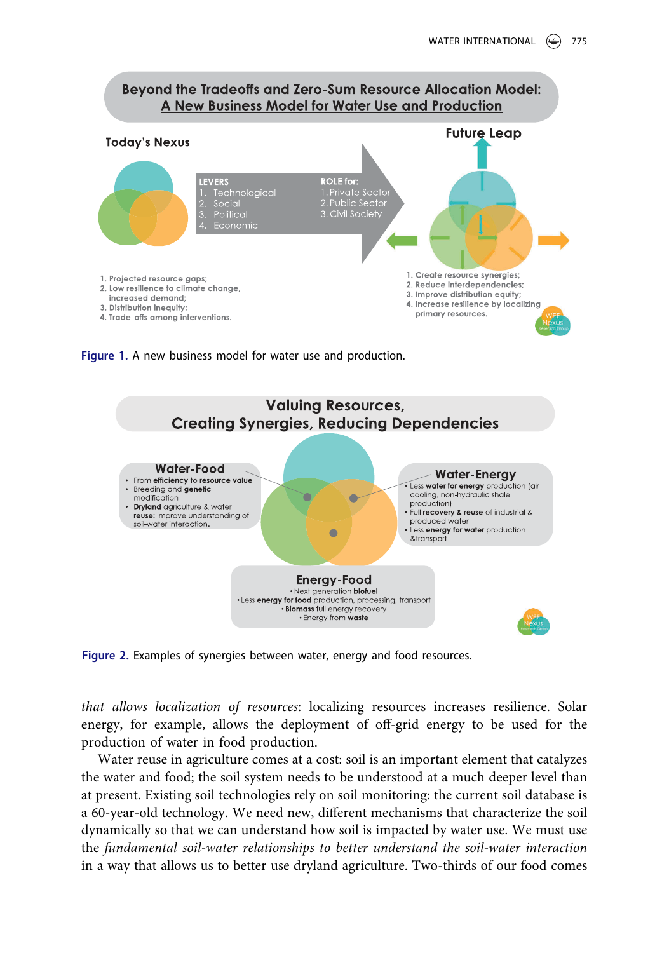#### Beyond the Tradeoffs and Zero-Sum Resource Allocation Model: A New Business Model for Water Use and Production



<span id="page-3-0"></span>Figure 1. A new business model for water use and production.



<span id="page-3-1"></span>Figure 2. Examples of synergies between water, energy and food resources.

that allows localization of resources: localizing resources increases resilience. Solar energy, for example, allows the deployment of off-grid energy to be used for the production of water in food production.

Water reuse in agriculture comes at a cost: soil is an important element that catalyzes the water and food; the soil system needs to be understood at a much deeper level than at present. Existing soil technologies rely on soil monitoring: the current soil database is a 60-year-old technology. We need new, different mechanisms that characterize the soil dynamically so that we can understand how soil is impacted by water use. We must use the fundamental soil-water relationships to better understand the soil-water interaction in a way that allows us to better use dryland agriculture. Two-thirds of our food comes